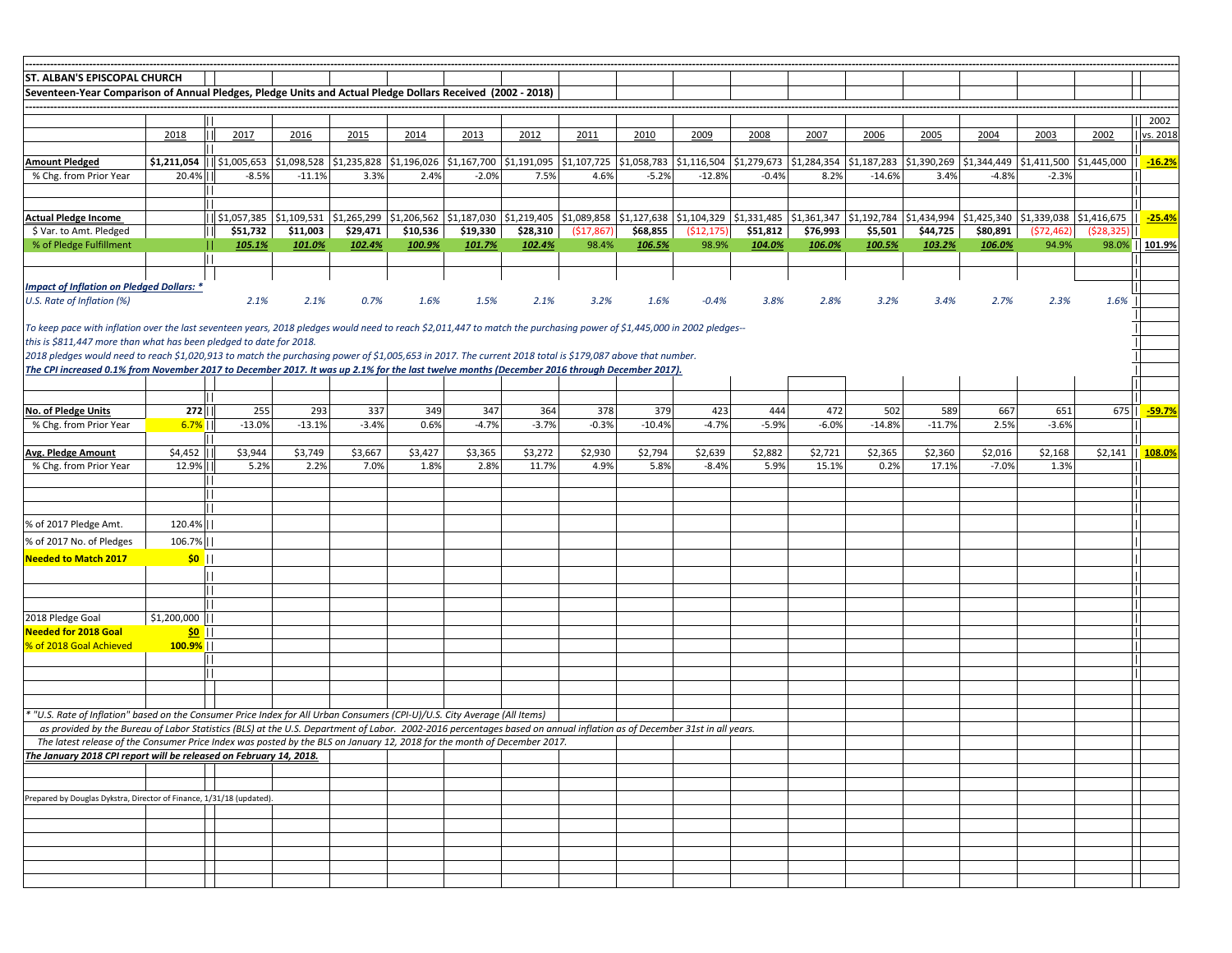| <b>ST. ALBAN'S EPISCOPAL CHURCH</b>                                                                                                                                                                                                                                                                       |                              |             |                           |                |          |          |                                                                                                                                                                                                   |             |          |            |          |          |          |          |          |            |                                                                                                                                                                         |                   |
|-----------------------------------------------------------------------------------------------------------------------------------------------------------------------------------------------------------------------------------------------------------------------------------------------------------|------------------------------|-------------|---------------------------|----------------|----------|----------|---------------------------------------------------------------------------------------------------------------------------------------------------------------------------------------------------|-------------|----------|------------|----------|----------|----------|----------|----------|------------|-------------------------------------------------------------------------------------------------------------------------------------------------------------------------|-------------------|
| Seventeen-Year Comparison of Annual Pledges, Pledge Units and Actual Pledge Dollars Received (2002 - 2018)                                                                                                                                                                                                |                              |             |                           |                |          |          |                                                                                                                                                                                                   |             |          |            |          |          |          |          |          |            |                                                                                                                                                                         |                   |
|                                                                                                                                                                                                                                                                                                           |                              |             |                           |                |          |          |                                                                                                                                                                                                   |             |          |            |          |          |          |          |          |            |                                                                                                                                                                         |                   |
|                                                                                                                                                                                                                                                                                                           |                              |             |                           |                |          |          |                                                                                                                                                                                                   |             |          |            |          |          |          |          |          |            |                                                                                                                                                                         | 2002              |
|                                                                                                                                                                                                                                                                                                           | 2018                         | 2017        | 2016                      | 2015           | 2014     | 2013     | 2012                                                                                                                                                                                              | 2011        | 2010     | 2009       | 2008     | 2007     | 2006     | 2005     | 2004     | 2003       | 2002                                                                                                                                                                    | <u>  vs. 2018</u> |
|                                                                                                                                                                                                                                                                                                           |                              |             |                           |                |          |          |                                                                                                                                                                                                   |             |          |            |          |          |          |          |          |            |                                                                                                                                                                         |                   |
| <b>Amount Pledged</b>                                                                                                                                                                                                                                                                                     | $$1,211,054$    $$1,005,653$ |             |                           |                |          |          | \$1,098,528  \$1,235,828  \$1,196,026  \$1,167,700  \$1,191,095  \$1,107,725  \$1,058,783  \$1,116,504  \$1,279,673  \$1,284,354  \$1,187,283  \$1,390,269  \$1,344,449  \$1,411,500  \$1,445,000 |             |          |            |          |          |          |          |          |            |                                                                                                                                                                         | $-16.2%$          |
| % Chg. from Prior Year                                                                                                                                                                                                                                                                                    | $20.4\%$                     | $-8.5%$     | $-11.1%$                  | 3.3%           | 2.4%     | $-2.0%$  | 7.5%                                                                                                                                                                                              | 4.6%        | $-5.2%$  | $-12.8%$   | $-0.4%$  | 8.2%     | $-14.6%$ | 3.4%     | $-4.8%$  | $-2.3%$    |                                                                                                                                                                         |                   |
|                                                                                                                                                                                                                                                                                                           |                              |             |                           |                |          |          |                                                                                                                                                                                                   |             |          |            |          |          |          |          |          |            |                                                                                                                                                                         |                   |
| <b>Actual Pledge Income</b>                                                                                                                                                                                                                                                                               |                              | \$1,057,385 | \$1,109,531   \$1,265,299 |                |          |          |                                                                                                                                                                                                   |             |          |            |          |          |          |          |          |            | \$1,206,562  \$1,187,030  \$1,219,405  \$1,089,858  \$1,127,638  \$1,104,329  \$1,331,485  \$1,361,347  \$1,192,784  \$1,434,994  \$1,425,340  \$1,339,038  \$1,416,675 | <u>-25.4%</u>     |
| \$ Var. to Amt. Pledged                                                                                                                                                                                                                                                                                   |                              | \$51,732    | \$11,003                  | \$29,471       | \$10,536 | \$19,330 | \$28,310                                                                                                                                                                                          | ( \$17,867) | \$68,855 | (512, 175) | \$51,812 | \$76,993 | \$5,501  | \$44,725 | \$80,891 | (572, 462) | (\$28,325)                                                                                                                                                              |                   |
| % of Pledge Fulfillment                                                                                                                                                                                                                                                                                   |                              | 105.1%      | 101.0%                    | <u> 102.4%</u> | 100.9%   | 101.7%   | 102.4%                                                                                                                                                                                            | 98.4%       | 106.5%   | 98.9%      | 104.0%   | 106.0%   | 100.5%   | 103.2%   | 106.0%   | 94.9%      | 98.0%                                                                                                                                                                   | 101.9%            |
|                                                                                                                                                                                                                                                                                                           |                              |             |                           |                |          |          |                                                                                                                                                                                                   |             |          |            |          |          |          |          |          |            |                                                                                                                                                                         |                   |
|                                                                                                                                                                                                                                                                                                           |                              |             |                           |                |          |          |                                                                                                                                                                                                   |             |          |            |          |          |          |          |          |            |                                                                                                                                                                         |                   |
| <b>Impact of Inflation on Pledged Dollars: *</b>                                                                                                                                                                                                                                                          |                              |             |                           |                |          |          |                                                                                                                                                                                                   |             |          |            |          |          |          |          |          |            |                                                                                                                                                                         |                   |
| U.S. Rate of Inflation (%)                                                                                                                                                                                                                                                                                |                              | 2.1%        | 2.1%                      | 0.7%           | 1.6%     | 1.5%     | 2.1%                                                                                                                                                                                              | 3.2%        | 1.6%     | $-0.4%$    | 3.8%     | 2.8%     | 3.2%     | 3.4%     | 2.7%     | 2.3%       | 1.6%                                                                                                                                                                    |                   |
|                                                                                                                                                                                                                                                                                                           |                              |             |                           |                |          |          |                                                                                                                                                                                                   |             |          |            |          |          |          |          |          |            |                                                                                                                                                                         |                   |
| To keep pace with inflation over the last seventeen years, 2018 pledges would need to reach \$2,011,447 to match the purchasing power of \$1,445,000 in 2002 pledges--                                                                                                                                    |                              |             |                           |                |          |          |                                                                                                                                                                                                   |             |          |            |          |          |          |          |          |            |                                                                                                                                                                         |                   |
| this is \$811,447 more than what has been pledged to date for 2018.                                                                                                                                                                                                                                       |                              |             |                           |                |          |          |                                                                                                                                                                                                   |             |          |            |          |          |          |          |          |            |                                                                                                                                                                         |                   |
| 2018 pledges would need to reach \$1,020,913 to match the purchasing power of \$1,005,653 in 2017. The current 2018 total is \$179,087 above that number.<br>The CPI increased 0.1% from November 2017 to December 2017. It was up 2.1% for the last twelve months (December 2016 through December 2017). |                              |             |                           |                |          |          |                                                                                                                                                                                                   |             |          |            |          |          |          |          |          |            |                                                                                                                                                                         |                   |
|                                                                                                                                                                                                                                                                                                           |                              |             |                           |                |          |          |                                                                                                                                                                                                   |             |          |            |          |          |          |          |          |            |                                                                                                                                                                         |                   |
|                                                                                                                                                                                                                                                                                                           |                              |             |                           |                |          |          |                                                                                                                                                                                                   |             |          |            |          |          |          |          |          |            |                                                                                                                                                                         |                   |
| <b>No. of Pledge Units</b>                                                                                                                                                                                                                                                                                | $272$                        | 255         | 293                       | 337            | 349      | 347      | 364                                                                                                                                                                                               | 378         | 379      | 423        | 444      | 472      | 502      | 589      | 667      | 651        | 675                                                                                                                                                                     | <u>-59.7%</u>     |
| % Chg. from Prior Year                                                                                                                                                                                                                                                                                    | $6.7\%$                      | $-13.0%$    | $-13.1%$                  | $-3.4%$        | 0.6%     | $-4.7%$  | $-3.7%$                                                                                                                                                                                           | $-0.3%$     | $-10.4%$ | $-4.7%$    | $-5.9%$  | $-6.0%$  | $-14.8%$ | $-11.7%$ | 2.5%     | $-3.6%$    |                                                                                                                                                                         |                   |
|                                                                                                                                                                                                                                                                                                           |                              |             |                           |                |          |          |                                                                                                                                                                                                   |             |          |            |          |          |          |          |          |            |                                                                                                                                                                         |                   |
| <b>Avg. Pledge Amount</b>                                                                                                                                                                                                                                                                                 | $$4,452$                     | \$3,944     | \$3,749                   | \$3,667        | \$3,427  | \$3,365  | \$3,272                                                                                                                                                                                           | \$2,930     | \$2,794  | \$2,639    | \$2,882  | \$2,721  | \$2,365  | \$2,360  | \$2,016  | \$2,168    | \$2,141                                                                                                                                                                 | 108.09            |
| % Chg. from Prior Year                                                                                                                                                                                                                                                                                    | 12.9%                        | 5.2%        | 2.2%                      | 7.0%           | 1.8%     | 2.8%     | 11.7%                                                                                                                                                                                             | 4.9%        | 5.8%     | $-8.4%$    | 5.9%     | 15.1%    | 0.2%     | 17.1%    | $-7.0%$  | 1.3%       |                                                                                                                                                                         |                   |
|                                                                                                                                                                                                                                                                                                           | 11 L                         |             |                           |                |          |          |                                                                                                                                                                                                   |             |          |            |          |          |          |          |          |            |                                                                                                                                                                         |                   |
|                                                                                                                                                                                                                                                                                                           |                              |             |                           |                |          |          |                                                                                                                                                                                                   |             |          |            |          |          |          |          |          |            |                                                                                                                                                                         |                   |
|                                                                                                                                                                                                                                                                                                           |                              |             |                           |                |          |          |                                                                                                                                                                                                   |             |          |            |          |          |          |          |          |            |                                                                                                                                                                         |                   |
| % of 2017 Pledge Amt.                                                                                                                                                                                                                                                                                     | $120.4\%$                    |             |                           |                |          |          |                                                                                                                                                                                                   |             |          |            |          |          |          |          |          |            |                                                                                                                                                                         |                   |
| % of 2017 No. of Pledges                                                                                                                                                                                                                                                                                  | $106.7\%$                    |             |                           |                |          |          |                                                                                                                                                                                                   |             |          |            |          |          |          |          |          |            |                                                                                                                                                                         |                   |
| <b>Needed to Match 2017</b>                                                                                                                                                                                                                                                                               | $  \cdot  $                  |             |                           |                |          |          |                                                                                                                                                                                                   |             |          |            |          |          |          |          |          |            |                                                                                                                                                                         |                   |
|                                                                                                                                                                                                                                                                                                           |                              |             |                           |                |          |          |                                                                                                                                                                                                   |             |          |            |          |          |          |          |          |            |                                                                                                                                                                         |                   |
|                                                                                                                                                                                                                                                                                                           |                              |             |                           |                |          |          |                                                                                                                                                                                                   |             |          |            |          |          |          |          |          |            |                                                                                                                                                                         |                   |
|                                                                                                                                                                                                                                                                                                           |                              |             |                           |                |          |          |                                                                                                                                                                                                   |             |          |            |          |          |          |          |          |            |                                                                                                                                                                         |                   |
| 2018 Pledge Goal                                                                                                                                                                                                                                                                                          | $$1,200,000$                 |             |                           |                |          |          |                                                                                                                                                                                                   |             |          |            |          |          |          |          |          |            |                                                                                                                                                                         |                   |
| Needed for 2018 Goal                                                                                                                                                                                                                                                                                      | $\frac{50}{2}$               |             |                           |                |          |          |                                                                                                                                                                                                   |             |          |            |          |          |          |          |          |            |                                                                                                                                                                         |                   |
| % of 2018 Goal Achieved                                                                                                                                                                                                                                                                                   | $ 100.9\% $                  |             |                           |                |          |          |                                                                                                                                                                                                   |             |          |            |          |          |          |          |          |            |                                                                                                                                                                         |                   |
|                                                                                                                                                                                                                                                                                                           |                              |             |                           |                |          |          |                                                                                                                                                                                                   |             |          |            |          |          |          |          |          |            |                                                                                                                                                                         |                   |
|                                                                                                                                                                                                                                                                                                           |                              |             |                           |                |          |          |                                                                                                                                                                                                   |             |          |            |          |          |          |          |          |            |                                                                                                                                                                         |                   |
|                                                                                                                                                                                                                                                                                                           |                              |             |                           |                |          |          |                                                                                                                                                                                                   |             |          |            |          |          |          |          |          |            |                                                                                                                                                                         |                   |
|                                                                                                                                                                                                                                                                                                           |                              |             |                           |                |          |          |                                                                                                                                                                                                   |             |          |            |          |          |          |          |          |            |                                                                                                                                                                         |                   |
| U.S. Rate of Inflation" based on the Consumer Price Index for All Urban Consumers (CPI-U)/U.S. City Average (All Items)                                                                                                                                                                                   |                              |             |                           |                |          |          |                                                                                                                                                                                                   |             |          |            |          |          |          |          |          |            |                                                                                                                                                                         |                   |
| as provided by the Bureau of Labor Statistics (BLS) at the U.S. Department of Labor. 2002-2016 percentages based on annual inflation as of December 31st in all years.<br>The latest release of the Consumer Price Index was posted by the BLS on January 12, 2018 for the month of December 2017.        |                              |             |                           |                |          |          |                                                                                                                                                                                                   |             |          |            |          |          |          |          |          |            |                                                                                                                                                                         |                   |
| The January 2018 CPI report will be released on February 14, 2018.                                                                                                                                                                                                                                        |                              |             |                           |                |          |          |                                                                                                                                                                                                   |             |          |            |          |          |          |          |          |            |                                                                                                                                                                         |                   |
|                                                                                                                                                                                                                                                                                                           |                              |             |                           |                |          |          |                                                                                                                                                                                                   |             |          |            |          |          |          |          |          |            |                                                                                                                                                                         |                   |
|                                                                                                                                                                                                                                                                                                           |                              |             |                           |                |          |          |                                                                                                                                                                                                   |             |          |            |          |          |          |          |          |            |                                                                                                                                                                         |                   |
| Prepared by Douglas Dykstra, Director of Finance, 1/31/18 (updated).                                                                                                                                                                                                                                      |                              |             |                           |                |          |          |                                                                                                                                                                                                   |             |          |            |          |          |          |          |          |            |                                                                                                                                                                         |                   |
|                                                                                                                                                                                                                                                                                                           |                              |             |                           |                |          |          |                                                                                                                                                                                                   |             |          |            |          |          |          |          |          |            |                                                                                                                                                                         |                   |
|                                                                                                                                                                                                                                                                                                           |                              |             |                           |                |          |          |                                                                                                                                                                                                   |             |          |            |          |          |          |          |          |            |                                                                                                                                                                         |                   |
|                                                                                                                                                                                                                                                                                                           |                              |             |                           |                |          |          |                                                                                                                                                                                                   |             |          |            |          |          |          |          |          |            |                                                                                                                                                                         |                   |
|                                                                                                                                                                                                                                                                                                           |                              |             |                           |                |          |          |                                                                                                                                                                                                   |             |          |            |          |          |          |          |          |            |                                                                                                                                                                         |                   |
|                                                                                                                                                                                                                                                                                                           |                              |             |                           |                |          |          |                                                                                                                                                                                                   |             |          |            |          |          |          |          |          |            |                                                                                                                                                                         |                   |
|                                                                                                                                                                                                                                                                                                           |                              |             |                           |                |          |          |                                                                                                                                                                                                   |             |          |            |          |          |          |          |          |            |                                                                                                                                                                         |                   |